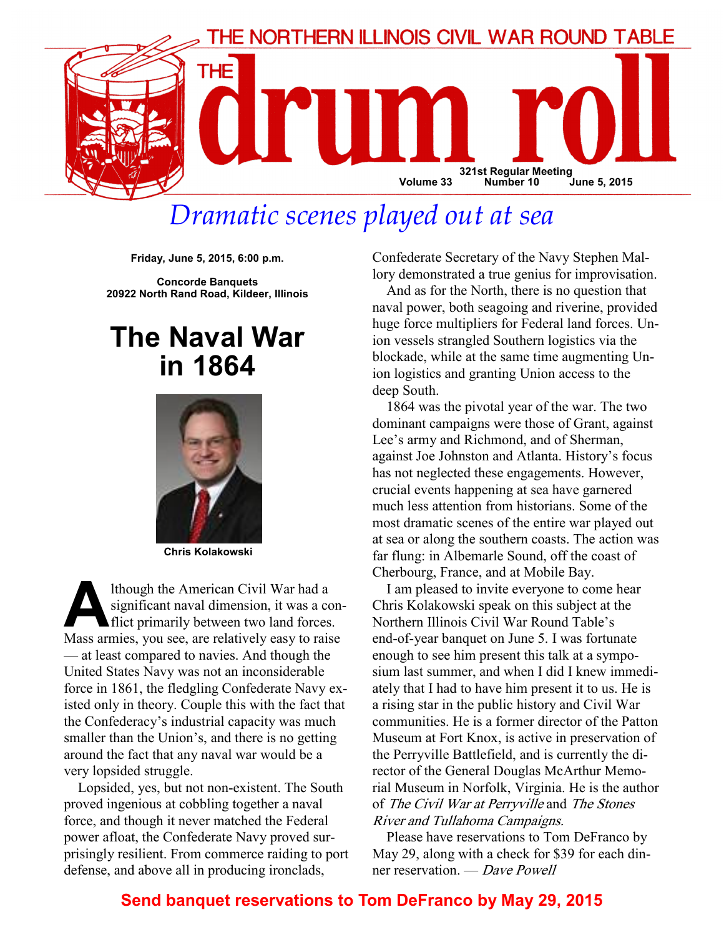

# Dramatic scenes played out at sea

Friday, June 5, 2015, 6:00 p.m.

Concorde Banquets 20922 North Rand Road, Kildeer, Illinois

## The Naval War in 1864



Chris Kolakowski

Ithough the American Civil War had a<br>significant naval dimension, it was a co<br>flict primarily between two land forces<br>Mass armies you see are relatively easy to raise significant naval dimension, it was a conflict primarily between two land forces. Mass armies, you see, are relatively easy to raise — at least compared to navies. And though the United States Navy was not an inconsiderable force in 1861, the fledgling Confederate Navy existed only in theory. Couple this with the fact that the Confederacy's industrial capacity was much smaller than the Union's, and there is no getting around the fact that any naval war would be a very lopsided struggle.

Lopsided, yes, but not non-existent. The South proved ingenious at cobbling together a naval force, and though it never matched the Federal power afloat, the Confederate Navy proved surprisingly resilient. From commerce raiding to port defense, and above all in producing ironclads,

Confederate Secretary of the Navy Stephen Mallory demonstrated a true genius for improvisation.

And as for the North, there is no question that naval power, both seagoing and riverine, provided huge force multipliers for Federal land forces. Union vessels strangled Southern logistics via the blockade, while at the same time augmenting Union logistics and granting Union access to the deep South.

1864 was the pivotal year of the war. The two dominant campaigns were those of Grant, against Lee's army and Richmond, and of Sherman, against Joe Johnston and Atlanta. History's focus has not neglected these engagements. However, crucial events happening at sea have garnered much less attention from historians. Some of the most dramatic scenes of the entire war played out at sea or along the southern coasts. The action was far flung: in Albemarle Sound, off the coast of Cherbourg, France, and at Mobile Bay.

I am pleased to invite everyone to come hear Chris Kolakowski speak on this subject at the Northern Illinois Civil War Round Table's end-of-year banquet on June 5. I was fortunate enough to see him present this talk at a symposium last summer, and when I did I knew immediately that I had to have him present it to us. He is a rising star in the public history and Civil War communities. He is a former director of the Patton Museum at Fort Knox, is active in preservation of the Perryville Battlefield, and is currently the director of the General Douglas McArthur Memorial Museum in Norfolk, Virginia. He is the author of The Civil War at Perryville and The Stones River and Tullahoma Campaigns.

Please have reservations to Tom DeFranco by May 29, along with a check for \$39 for each dinner reservation. — Dave Powell

## Send banquet reservations to Tom DeFranco by May 29, 2015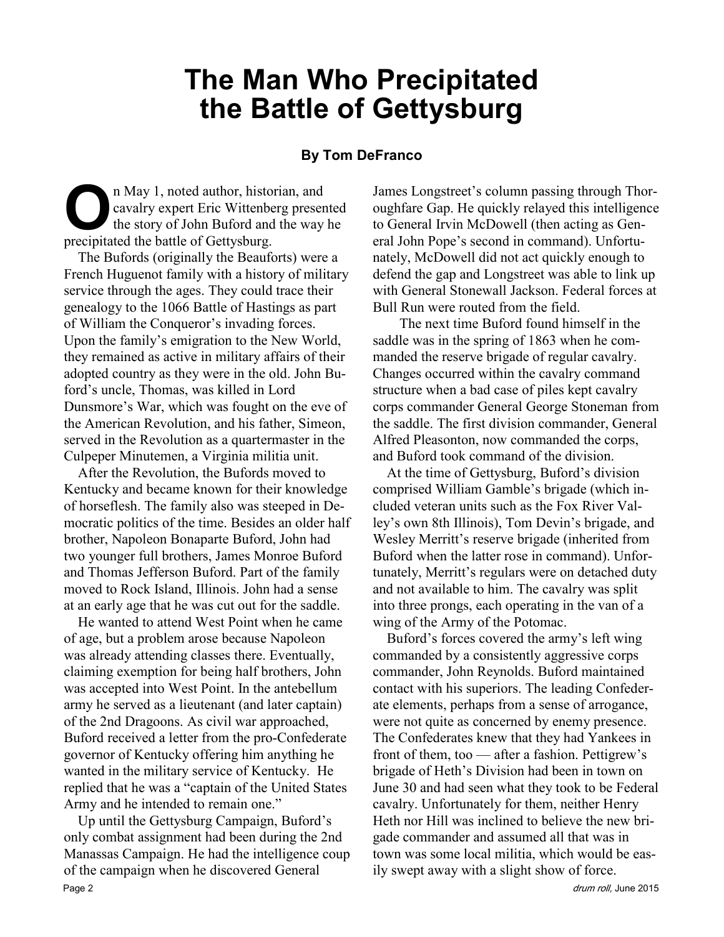## The Man Who Precipitated the Battle of Gettysburg

#### By Tom DeFranco

In May 1, noted author, historian, and<br>cavalry expert Eric Wittenberg preser<br>the story of John Buford and the way<br>precipitated the battle of Gettysburg cavalry expert Eric Wittenberg presented the story of John Buford and the way he precipitated the battle of Gettysburg.

The Bufords (originally the Beauforts) were a French Huguenot family with a history of military service through the ages. They could trace their genealogy to the 1066 Battle of Hastings as part of William the Conqueror's invading forces. Upon the family's emigration to the New World, they remained as active in military affairs of their adopted country as they were in the old. John Buford's uncle, Thomas, was killed in Lord Dunsmore's War, which was fought on the eve of the American Revolution, and his father, Simeon, served in the Revolution as a quartermaster in the Culpeper Minutemen, a Virginia militia unit.

After the Revolution, the Bufords moved to Kentucky and became known for their knowledge of horseflesh. The family also was steeped in Democratic politics of the time. Besides an older half brother, Napoleon Bonaparte Buford, John had two younger full brothers, James Monroe Buford and Thomas Jefferson Buford. Part of the family moved to Rock Island, Illinois. John had a sense at an early age that he was cut out for the saddle.

He wanted to attend West Point when he came of age, but a problem arose because Napoleon was already attending classes there. Eventually, claiming exemption for being half brothers, John was accepted into West Point. In the antebellum army he served as a lieutenant (and later captain) of the 2nd Dragoons. As civil war approached, Buford received a letter from the pro-Confederate governor of Kentucky offering him anything he wanted in the military service of Kentucky. He replied that he was a "captain of the United States Army and he intended to remain one."

Up until the Gettysburg Campaign, Buford's only combat assignment had been during the 2nd Manassas Campaign. He had the intelligence coup of the campaign when he discovered General Page 2 drum roll, June 2015

James Longstreet's column passing through Thoroughfare Gap. He quickly relayed this intelligence to General Irvin McDowell (then acting as General John Pope's second in command). Unfortunately, McDowell did not act quickly enough to defend the gap and Longstreet was able to link up with General Stonewall Jackson. Federal forces at Bull Run were routed from the field.

 The next time Buford found himself in the saddle was in the spring of 1863 when he commanded the reserve brigade of regular cavalry. Changes occurred within the cavalry command structure when a bad case of piles kept cavalry corps commander General George Stoneman from the saddle. The first division commander, General Alfred Pleasonton, now commanded the corps, and Buford took command of the division.

At the time of Gettysburg, Buford's division comprised William Gamble's brigade (which included veteran units such as the Fox River Valley's own 8th Illinois), Tom Devin's brigade, and Wesley Merritt's reserve brigade (inherited from Buford when the latter rose in command). Unfortunately, Merritt's regulars were on detached duty and not available to him. The cavalry was split into three prongs, each operating in the van of a wing of the Army of the Potomac.

Buford's forces covered the army's left wing commanded by a consistently aggressive corps commander, John Reynolds. Buford maintained contact with his superiors. The leading Confederate elements, perhaps from a sense of arrogance, were not quite as concerned by enemy presence. The Confederates knew that they had Yankees in front of them, too — after a fashion. Pettigrew's brigade of Heth's Division had been in town on June 30 and had seen what they took to be Federal cavalry. Unfortunately for them, neither Henry Heth nor Hill was inclined to believe the new brigade commander and assumed all that was in town was some local militia, which would be easily swept away with a slight show of force.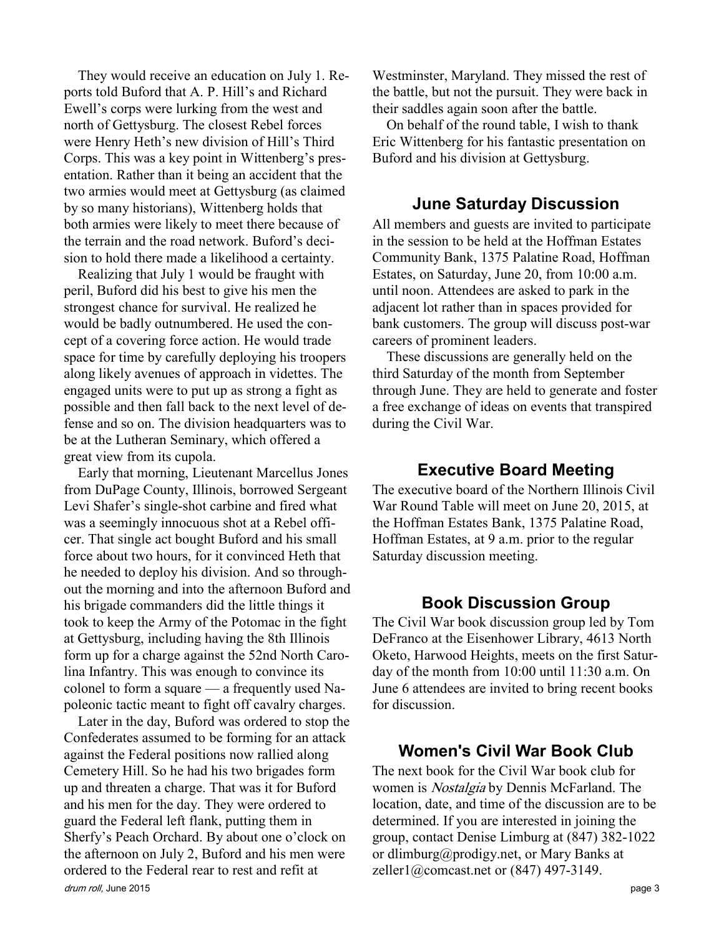They would receive an education on July 1. Reports told Buford that A. P. Hill's and Richard Ewell's corps were lurking from the west and north of Gettysburg. The closest Rebel forces were Henry Heth's new division of Hill's Third Corps. This was a key point in Wittenberg's presentation. Rather than it being an accident that the two armies would meet at Gettysburg (as claimed by so many historians), Wittenberg holds that both armies were likely to meet there because of the terrain and the road network. Buford's decision to hold there made a likelihood a certainty.

Realizing that July 1 would be fraught with peril, Buford did his best to give his men the strongest chance for survival. He realized he would be badly outnumbered. He used the concept of a covering force action. He would trade space for time by carefully deploying his troopers along likely avenues of approach in videttes. The engaged units were to put up as strong a fight as possible and then fall back to the next level of defense and so on. The division headquarters was to be at the Lutheran Seminary, which offered a great view from its cupola.

Early that morning, Lieutenant Marcellus Jones from DuPage County, Illinois, borrowed Sergeant Levi Shafer's single-shot carbine and fired what was a seemingly innocuous shot at a Rebel officer. That single act bought Buford and his small force about two hours, for it convinced Heth that he needed to deploy his division. And so throughout the morning and into the afternoon Buford and his brigade commanders did the little things it took to keep the Army of the Potomac in the fight at Gettysburg, including having the 8th Illinois form up for a charge against the 52nd North Carolina Infantry. This was enough to convince its colonel to form a square — a frequently used Napoleonic tactic meant to fight off cavalry charges.

drum roll, June 2015 **page 3** Later in the day, Buford was ordered to stop the Confederates assumed to be forming for an attack against the Federal positions now rallied along Cemetery Hill. So he had his two brigades form up and threaten a charge. That was it for Buford and his men for the day. They were ordered to guard the Federal left flank, putting them in Sherfy's Peach Orchard. By about one o'clock on the afternoon on July 2, Buford and his men were ordered to the Federal rear to rest and refit at

Westminster, Maryland. They missed the rest of the battle, but not the pursuit. They were back in their saddles again soon after the battle.

On behalf of the round table, I wish to thank Eric Wittenberg for his fantastic presentation on Buford and his division at Gettysburg.

#### June Saturday Discussion

All members and guests are invited to participate in the session to be held at the Hoffman Estates Community Bank, 1375 Palatine Road, Hoffman Estates, on Saturday, June 20, from 10:00 a.m. until noon. Attendees are asked to park in the adjacent lot rather than in spaces provided for bank customers. The group will discuss post-war careers of prominent leaders.

These discussions are generally held on the third Saturday of the month from September through June. They are held to generate and foster a free exchange of ideas on events that transpired during the Civil War.

### Executive Board Meeting

The executive board of the Northern Illinois Civil War Round Table will meet on June 20, 2015, at the Hoffman Estates Bank, 1375 Palatine Road, Hoffman Estates, at 9 a.m. prior to the regular Saturday discussion meeting.

#### Book Discussion Group

The Civil War book discussion group led by Tom DeFranco at the Eisenhower Library, 4613 North Oketo, Harwood Heights, meets on the first Saturday of the month from 10:00 until 11:30 a.m. On June 6 attendees are invited to bring recent books for discussion.

#### Women's Civil War Book Club

The next book for the Civil War book club for women is Nostalgia by Dennis McFarland. The location, date, and time of the discussion are to be determined. If you are interested in joining the group, contact Denise Limburg at (847) 382-1022 or dlimburg@prodigy.net, or Mary Banks at zeller1@comcast.net or (847) 497-3149.